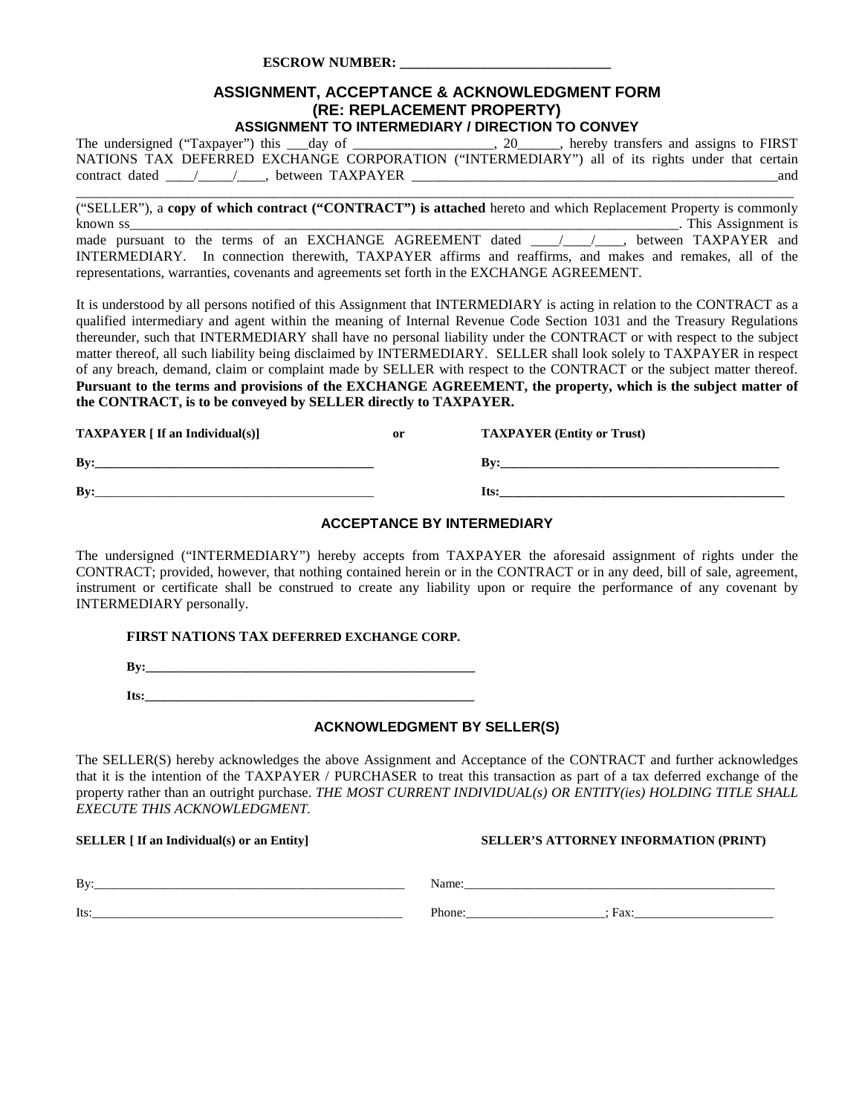#### **ESCROW NUMBER: \_\_\_\_\_\_\_\_\_\_\_\_\_\_\_\_\_\_\_\_\_\_\_\_\_\_\_\_\_\_**

#### **ASSIGNMENT, ACCEPTANCE & ACKNOWLEDGMENT FORM (RE: REPLACEMENT PROPERTY) ASSIGNMENT TO INTERMEDIARY / DIRECTION TO CONVEY**

The undersigned ("Taxpayer") this \_\_\_day of \_\_\_\_\_\_\_\_\_\_\_\_\_\_\_\_, 20\_\_\_\_\_, hereby transfers and assigns to FIRST NATIONS TAX DEFERRED EXCHANGE CORPORATION ("INTERMEDIARY") all of its rights under that certain contract dated  $\frac{1}{\sqrt{2}}$ , between TAXPAYER  $\frac{1}{\sqrt{2}}$  and

\_\_\_\_\_\_\_\_\_\_\_\_\_\_\_\_\_\_\_\_\_\_\_\_\_\_\_\_\_\_\_\_\_\_\_\_\_\_\_\_\_\_\_\_\_\_\_\_\_\_\_\_\_\_\_\_\_\_\_\_\_\_\_\_\_\_\_\_\_\_\_\_\_\_\_\_\_\_\_\_\_\_\_\_\_\_\_\_\_\_\_\_\_\_\_\_\_\_\_\_\_\_

("SELLER"), a **copy of which contract ("CONTRACT") is attached** hereto and which Replacement Property is commonly known ss\_\_\_\_\_\_\_\_\_\_\_\_\_\_\_\_\_\_\_\_\_\_\_\_\_\_\_\_\_\_\_\_\_\_\_\_\_\_\_\_\_\_\_\_\_\_\_\_\_\_\_\_\_\_\_\_\_\_\_\_\_\_\_\_\_\_\_\_\_\_\_\_\_\_\_\_\_\_. This Assignment is made pursuant to the terms of an EXCHANGE AGREEMENT dated \_\_\_\_\_/\_\_\_\_\_\_, between TAXPAYER and INTERMEDIARY. In connection therewith, TAXPAYER affirms and reaffirms, and makes and remakes, all of the representations, warranties, covenants and agreements set forth in the EXCHANGE AGREEMENT.

It is understood by all persons notified of this Assignment that INTERMEDIARY is acting in relation to the CONTRACT as a qualified intermediary and agent within the meaning of Internal Revenue Code Section 1031 and the Treasury Regulations thereunder, such that INTERMEDIARY shall have no personal liability under the CONTRACT or with respect to the subject matter thereof, all such liability being disclaimed by INTERMEDIARY. SELLER shall look solely to TAXPAYER in respect of any breach, demand, claim or complaint made by SELLER with respect to the CONTRACT or the subject matter thereof. **Pursuant to the terms and provisions of the EXCHANGE AGREEMENT, the property, which is the subject matter of the CONTRACT, is to be conveyed by SELLER directly to TAXPAYER.** 

| <b>TAXPAYER</b> [ If an Individual(s)] | or | <b>TAXPAYER (Entity or Trust)</b> |
|----------------------------------------|----|-----------------------------------|
| Bv:                                    |    | Bv:                               |
| Bv:                                    |    | Its:                              |

#### **ACCEPTANCE BY INTERMEDIARY**

The undersigned ("INTERMEDIARY") hereby accepts from TAXPAYER the aforesaid assignment of rights under the CONTRACT; provided, however, that nothing contained herein or in the CONTRACT or in any deed, bill of sale, agreement, instrument or certificate shall be construed to create any liability upon or require the performance of any covenant by INTERMEDIARY personally.

#### **FIRST NATIONS TAX DEFERRED EXCHANGE CORP.**

 $By:$ 

**Its:\_\_\_\_\_\_\_\_\_\_\_\_\_\_\_\_\_\_\_\_\_\_\_\_\_\_\_\_\_\_\_\_\_\_\_\_\_\_\_\_\_\_\_\_\_\_\_\_\_\_\_\_**

#### **ACKNOWLEDGMENT BY SELLER(S)**

The SELLER(S) hereby acknowledges the above Assignment and Acceptance of the CONTRACT and further acknowledges that it is the intention of the TAXPAYER / PURCHASER to treat this transaction as part of a tax deferred exchange of the property rather than an outright purchase. *THE MOST CURRENT INDIVIDUAL(s) OR ENTITY(ies) HOLDING TITLE SHALL EXECUTE THIS ACKNOWLEDGMENT.*

#### **SELLER [ If an Individual(s) or an Entity]** SELLER'S ATTORNEY INFORMATION (PRINT)

| Bv   | 50000                  |
|------|------------------------|
| Its: | Phone.<br>$- -$<br>`a∧ |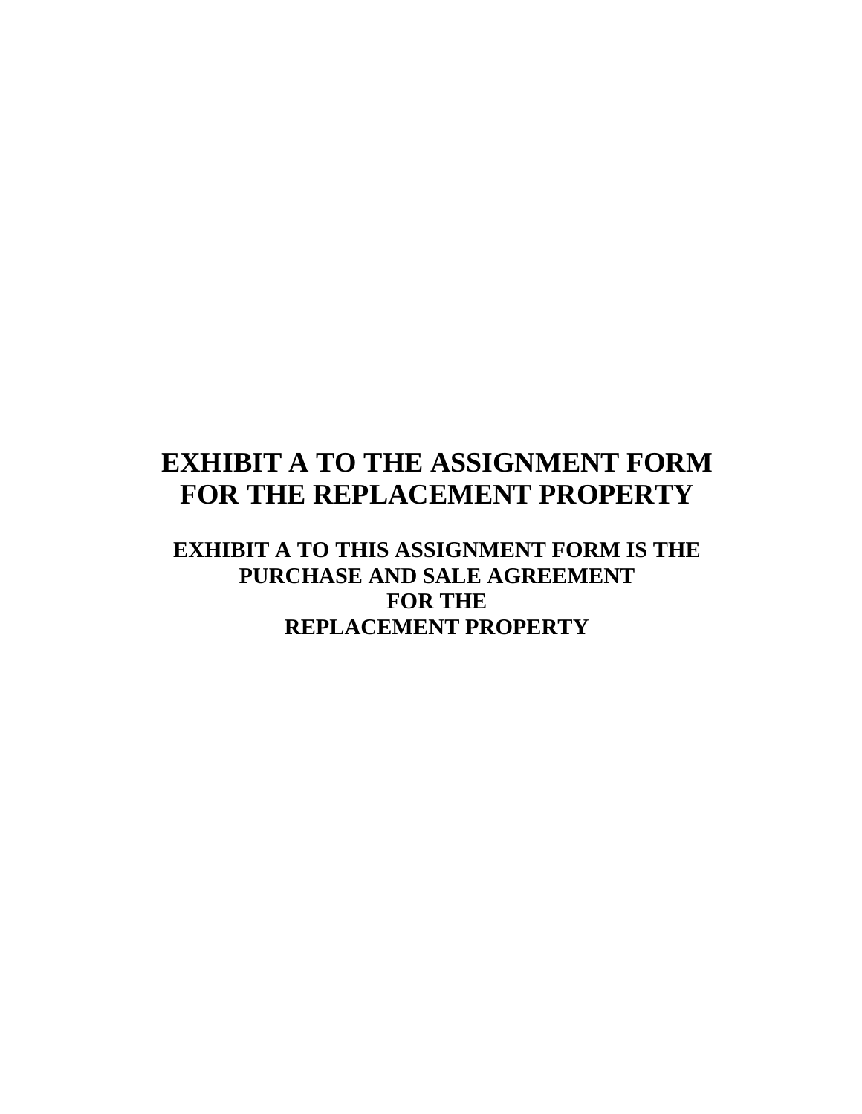# **EXHIBIT A TO THE ASSIGNMENT FORM FOR THE REPLACEMENT PROPERTY**

**EXHIBIT A TO THIS ASSIGNMENT FORM IS THE PURCHASE AND SALE AGREEMENT FOR THE REPLACEMENT PROPERTY**